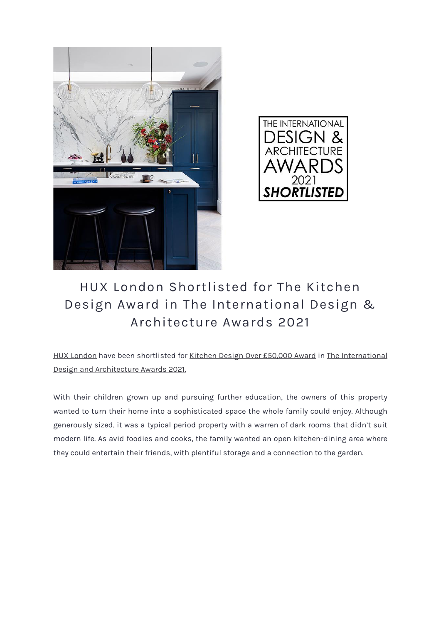



## HUX London Shortlisted for The Kitchen Design Award in The International Design & Architecture Awards 2021

HUX [London](https://hux-london.co.uk/) have been shortlisted for Kitchen Design Over [£50,000](https://www.thedesignawards.co.uk/international-design-architecture-awards/categories/) Award in The [International](https://www.thedesignawards.co.uk/international-design-architecture-awards/) Design and [Architecture](https://www.thedesignawards.co.uk/international-design-architecture-awards/) Awards 2021.

With their children grown up and pursuing further education, the owners of this property wanted to turn their home into a sophisticated space the whole family could enjoy. Although generously sized, it was a typical period property with a warren of dark rooms that didn't suit modern life. As avid foodies and cooks, the family wanted an open kitchen-dining area where they could entertain their friends, with plentiful storage and a connection to the garden.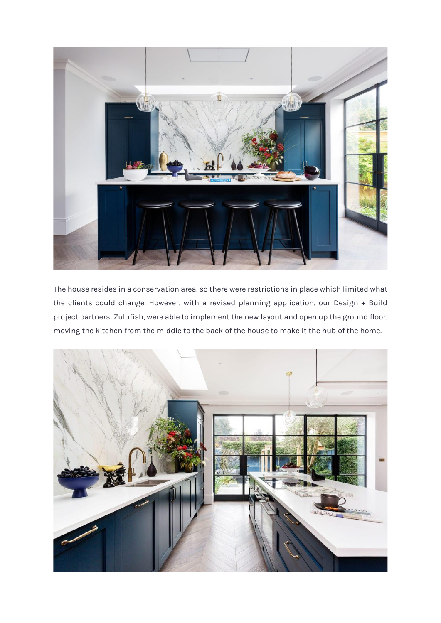

The house resides in a conservation area, so there were restrictions in place which limited what the clients could change. However, with a revised planning application, our Design + Build project partners, [Zulufish,](https://zulufish.co.uk/) were able to implement the new layout and open up the ground floor, moving the kitchen from the middle to the back of the house to make it the hub of the home.